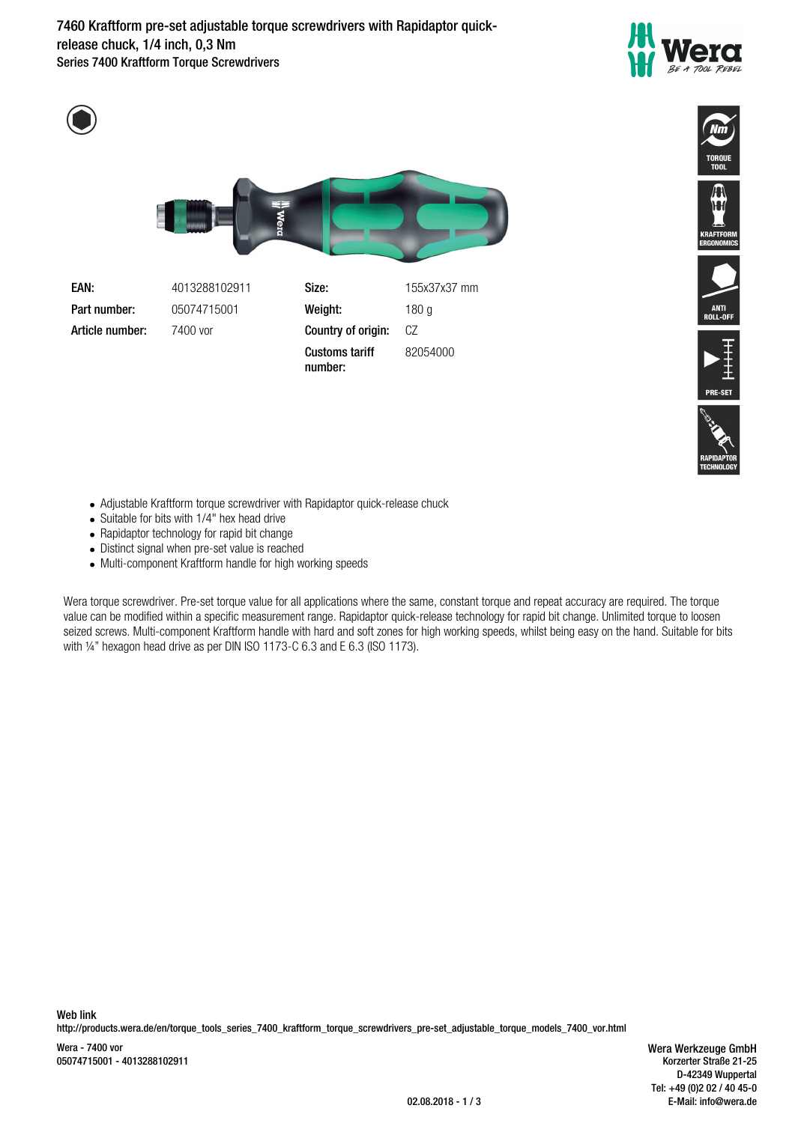**7460 Kraftform pre-set adjustable torque screwdrivers with Rapidaptor quickrelease chuck, 1/4 inch, 0,3 Nm** Series 7400 Kraftform Torque Screwdrivers















- Adjustable Kraftform torque screwdriver with Rapidaptor quick-release chuck
- Suitable for bits with 1/4" hex head drive
- Rapidaptor technology for rapid bit change
- Distinct signal when pre-set value is reached
- Multi-component Kraftform handle for high working speeds

Wera torque screwdriver. Pre-set torque value for all applications where the same, constant torque and repeat accuracy are required. The torque value can be modified within a specific measurement range. Rapidaptor quick-release technology for rapid bit change. Unlimited torque to loosen seized screws. Multi-component Kraftform handle with hard and soft zones for high working speeds, whilst being easy on the hand. Suitable for bits with 1/4" hexagon head drive as per DIN ISO 1173-C 6.3 and E 6.3 (ISO 1173).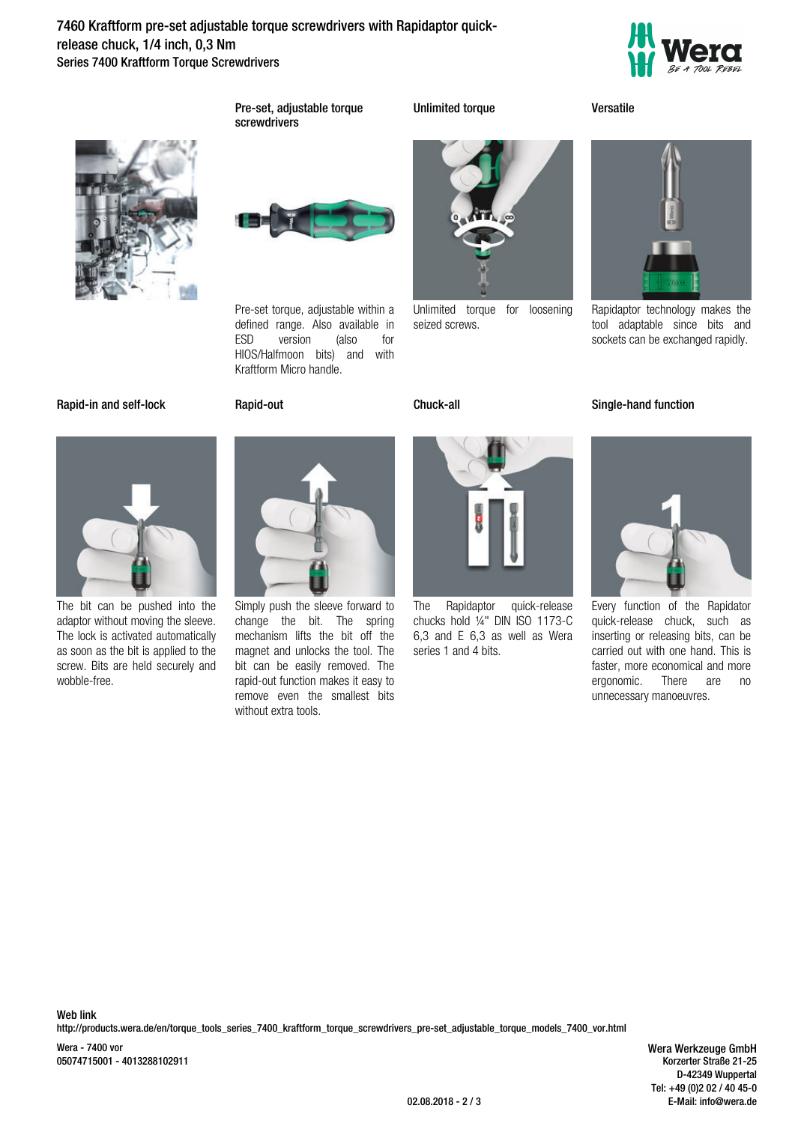**7460 Kraftform pre-set adjustable torque screwdrivers with Rapidaptor quickrelease chuck, 1/4 inch, 0,3 Nm** Series 7400 Kraftform Torque Screwdrivers





**Pre-set, adjustable torque screwdrivers**

**Unlimited torque Versatile**



Pre-set torque, adjustable within a defined range. Also available in ESD version (also for HIOS/Halfmoon bits) and with Kraftform Micro handle.



Unlimited torque for loosening seized screws.



Rapidaptor technology makes the tool adaptable since bits and sockets can be exchanged rapidly.

## **Rapid-in and self-lock Rapid-out Chuck-all Single-hand function**



The bit can be pushed into the adaptor without moving the sleeve. The lock is activated automatically as soon as the bit is applied to the screw. Bits are held securely and wobble-free.



Simply push the sleeve forward to change the bit. The spring mechanism lifts the bit off the magnet and unlocks the tool. The bit can be easily removed. The rapid-out function makes it easy to remove even the smallest bits without extra tools.



The Rapidaptor quick-release chucks hold ¼" DIN ISO 1173-C 6,3 and E 6,3 as well as Wera series 1 and 4 bits.



Every function of the Rapidator quick-release chuck, such as inserting or releasing bits, can be carried out with one hand. This is faster, more economical and more<br>ergonomic. There are no There are no unnecessary manoeuvres.